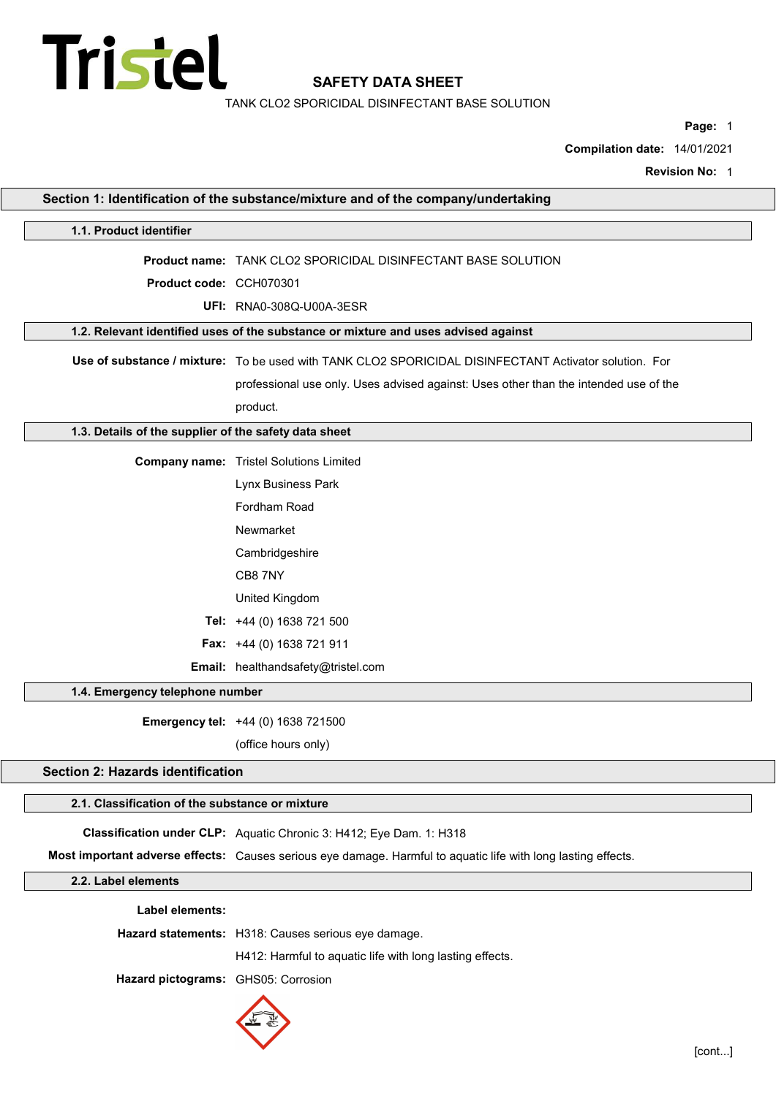

TANK CLO2 SPORICIDAL DISINFECTANT BASE SOLUTION

Page: 1

Compilation date: 14/01/2021

Revision No: 1

|                                                       | Section 1: Identification of the substance/mixture and of the company/undertaking                             |
|-------------------------------------------------------|---------------------------------------------------------------------------------------------------------------|
| 1.1. Product identifier                               |                                                                                                               |
|                                                       | <b>Product name: TANK CLO2 SPORICIDAL DISINFECTANT BASE SOLUTION</b>                                          |
| Product code: CCH070301                               |                                                                                                               |
|                                                       | <b>UFI: RNA0-308Q-U00A-3ESR</b>                                                                               |
|                                                       | 1.2. Relevant identified uses of the substance or mixture and uses advised against                            |
|                                                       | Use of substance / mixture: To be used with TANK CLO2 SPORICIDAL DISINFECTANT Activator solution. For         |
|                                                       | professional use only. Uses advised against: Uses other than the intended use of the                          |
|                                                       | product.                                                                                                      |
| 1.3. Details of the supplier of the safety data sheet |                                                                                                               |
|                                                       |                                                                                                               |
|                                                       | <b>Company name:</b> Tristel Solutions Limited                                                                |
|                                                       | Lynx Business Park                                                                                            |
|                                                       | Fordham Road                                                                                                  |
|                                                       | Newmarket                                                                                                     |
|                                                       | Cambridgeshire                                                                                                |
|                                                       | CB8 7NY                                                                                                       |
|                                                       | United Kingdom                                                                                                |
|                                                       | Tel: +44 (0) 1638 721 500                                                                                     |
|                                                       | Fax: +44 (0) 1638 721 911                                                                                     |
|                                                       | Email: healthandsafety@tristel.com                                                                            |
| 1.4. Emergency telephone number                       |                                                                                                               |
|                                                       | Emergency tel: +44 (0) 1638 721500                                                                            |
|                                                       | (office hours only)                                                                                           |
| <b>Section 2: Hazards identification</b>              |                                                                                                               |
| 2.1. Classification of the substance or mixture       |                                                                                                               |
|                                                       | Classification under CLP: Aquatic Chronic 3: H412; Eye Dam. 1: H318                                           |
|                                                       | Most important adverse effects: Causes serious eye damage. Harmful to aquatic life with long lasting effects. |
| 2.2. Label elements                                   |                                                                                                               |
| Label elements:                                       |                                                                                                               |
|                                                       | Hazard statements: H318: Causes serious eye damage.                                                           |
|                                                       | H412: Harmful to aquatic life with long lasting effects.                                                      |
| Hazard pictograms: GHS05: Corrosion                   |                                                                                                               |
|                                                       |                                                                                                               |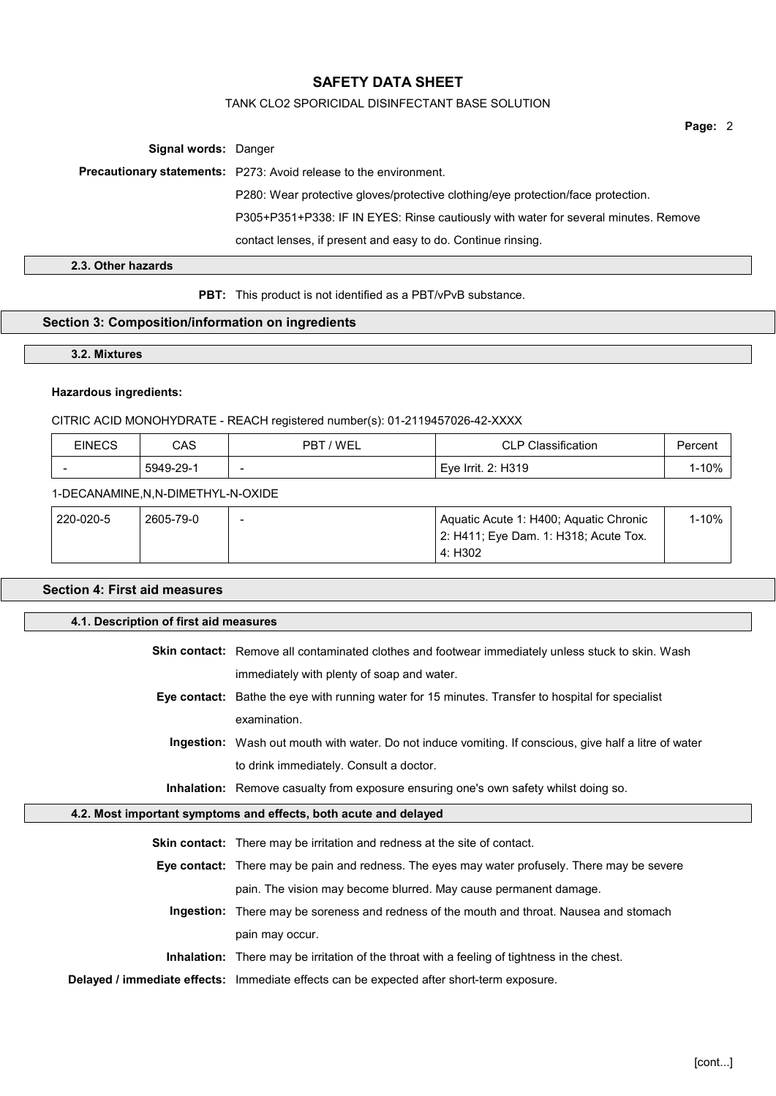## TANK CLO2 SPORICIDAL DISINFECTANT BASE SOLUTION

Page: 2

Signal words: Danger

Precautionary statements: P273: Avoid release to the environment.

P280: Wear protective gloves/protective clothing/eye protection/face protection.

P305+P351+P338: IF IN EYES: Rinse cautiously with water for several minutes. Remove

contact lenses, if present and easy to do. Continue rinsing.

2.3. Other hazards

PBT: This product is not identified as a PBT/vPvB substance.

## Section 3: Composition/information on ingredients

3.2. Mixtures

# Hazardous ingredients:

## CITRIC ACID MONOHYDRATE - REACH registered number(s): 01-2119457026-42-XXXX

| <b>EINECS</b> | CAS       | 'WEL<br>PR. | اٽ اڪ<br>CLP CI:                | ercen.     |
|---------------|-----------|-------------|---------------------------------|------------|
| . .           | 5949-29-1 | -           | <sup>⊢</sup> Eve Irrit. 2: H319 | 10%<br>ט ו |

#### 1-DECANAMINE,N,N-DIMETHYL-N-OXIDE

| 220-020-5 | 2605-79-0 | - | Aquatic Acute 1: H400; Aquatic Chronic        | $1 - 10%$ |
|-----------|-----------|---|-----------------------------------------------|-----------|
|           |           |   | $\vert$ 2: H411; Eye Dam. 1: H318; Acute Tox. |           |
|           |           |   | . 4: H302                                     |           |

# Section 4: First aid measures

 $\Box$ 

| 4.1. Description of first aid measures |                                                                                                          |
|----------------------------------------|----------------------------------------------------------------------------------------------------------|
|                                        | <b>Skin contact:</b> Remove all contaminated clothes and footwear immediately unless stuck to skin. Wash |
|                                        | immediately with plenty of soap and water.                                                               |
|                                        | Eye contact: Bathe the eye with running water for 15 minutes. Transfer to hospital for specialist        |
|                                        | examination.                                                                                             |
|                                        | Ingestion: Wash out mouth with water. Do not induce vomiting. If conscious, give half a litre of water   |
|                                        | to drink immediately. Consult a doctor.                                                                  |
|                                        | Inhalation: Remove casualty from exposure ensuring one's own safety whilst doing so.                     |
|                                        | 4.2. Most important symptoms and effects, both acute and delayed                                         |
|                                        | <b>Skin contact:</b> There may be irritation and redness at the site of contact.                         |
|                                        | <b>Eye contact:</b> There may be pain and redness. The eyes may water profusely. There may be severe     |
|                                        | pain. The vision may become blurred. May cause permanent damage.                                         |
| Ingestion:                             | There may be soreness and redness of the mouth and throat. Nausea and stomach                            |
|                                        | pain may occur.                                                                                          |
|                                        | <b>Inhalation:</b> There may be irritation of the throat with a feeling of tightness in the chest.       |
|                                        | Delayed / immediate effects: Immediate effects can be expected after short-term exposure.                |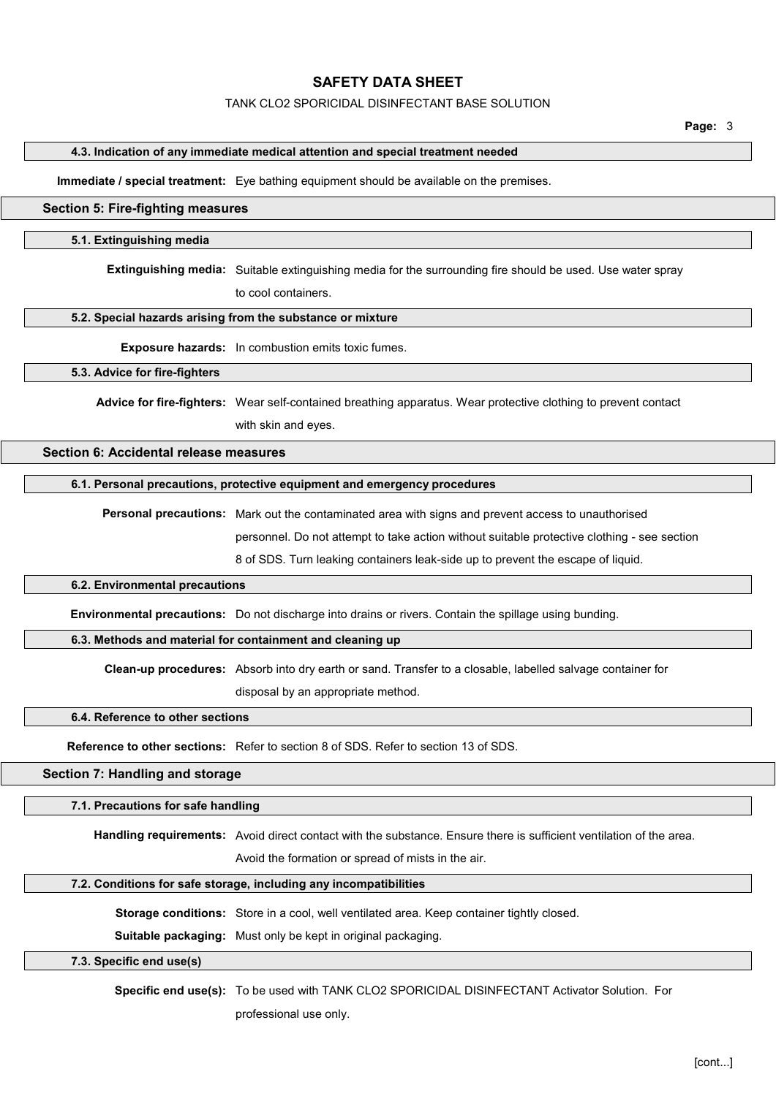#### TANK CLO2 SPORICIDAL DISINFECTANT BASE SOLUTION

Page: 3

### 4.3. Indication of any immediate medical attention and special treatment needed

Immediate / special treatment: Eye bathing equipment should be available on the premises.

## Section 5: Fire-fighting measures

#### 5.1. Extinguishing media

Extinguishing media: Suitable extinguishing media for the surrounding fire should be used. Use water spray

to cool containers.

### 5.2. Special hazards arising from the substance or mixture

Exposure hazards: In combustion emits toxic fumes.

#### 5.3. Advice for fire-fighters

Advice for fire-fighters: Wear self-contained breathing apparatus. Wear protective clothing to prevent contact with skin and eyes.

## Section 6: Accidental release measures

#### 6.1. Personal precautions, protective equipment and emergency procedures

Personal precautions: Mark out the contaminated area with signs and prevent access to unauthorised

personnel. Do not attempt to take action without suitable protective clothing - see section

8 of SDS. Turn leaking containers leak-side up to prevent the escape of liquid.

#### 6.2. Environmental precautions

Environmental precautions: Do not discharge into drains or rivers. Contain the spillage using bunding.

### 6.3. Methods and material for containment and cleaning up

Clean-up procedures: Absorb into dry earth or sand. Transfer to a closable, labelled salvage container for disposal by an appropriate method.

# 6.4. Reference to other sections

Reference to other sections: Refer to section 8 of SDS. Refer to section 13 of SDS.

## Section 7: Handling and storage

#### 7.1. Precautions for safe handling

Handling requirements: Avoid direct contact with the substance. Ensure there is sufficient ventilation of the area.

Avoid the formation or spread of mists in the air.

#### 7.2. Conditions for safe storage, including any incompatibilities

Storage conditions: Store in a cool, well ventilated area. Keep container tightly closed.

Suitable packaging: Must only be kept in original packaging.

## 7.3. Specific end use(s)

Specific end use(s): To be used with TANK CLO2 SPORICIDAL DISINFECTANT Activator Solution. For

professional use only.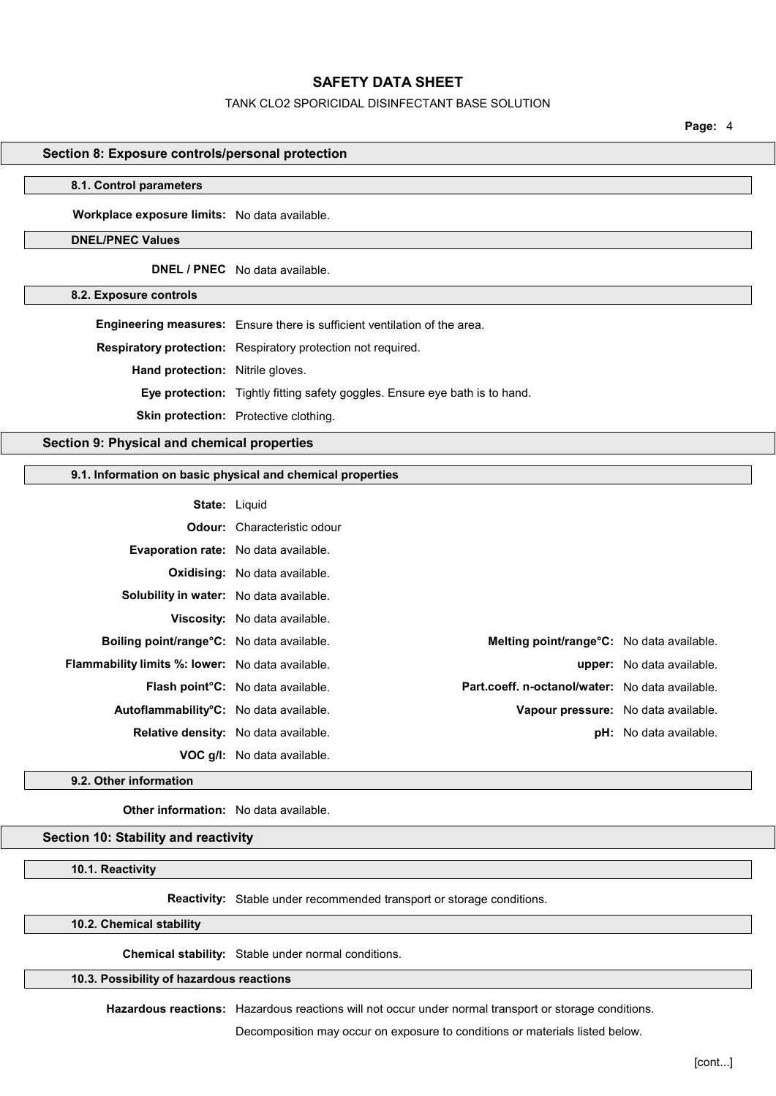## TANK CLO2 SPORICIDAL DISINFECTANT BASE SOLUTION

Page: 4

### Section 8: Exposure controls/personal protection

#### 8.1. Control parameters

Workplace exposure limits: No data available.

## DNEL/PNEC Values

DNEL / PNEC No data available.

8.2. Exposure controls

Engineering measures: Ensure there is sufficient ventilation of the area.

Respiratory protection: Respiratory protection not required.

Hand protection: Nitrile gloves.

Eye protection: Tightly fitting safety goggles. Ensure eye bath is to hand.

Skin protection: Protective clothing.

## Section 9: Physical and chemical properties

#### 9.1. Information on basic physical and chemical properties

| <b>State: Liquid</b>                                    |                                             |                                                 |                               |
|---------------------------------------------------------|---------------------------------------------|-------------------------------------------------|-------------------------------|
|                                                         | <b>Odour:</b> Characteristic odour          |                                                 |                               |
| <b>Evaporation rate:</b> No data available.             |                                             |                                                 |                               |
|                                                         | <b>Oxidising:</b> No data available.        |                                                 |                               |
| <b>Solubility in water:</b> No data available.          |                                             |                                                 |                               |
|                                                         | Viscosity: No data available.               |                                                 |                               |
| Boiling point/range°C: No data available.               |                                             | Melting point/range°C: No data available.       |                               |
| <b>Flammability limits %: lower:</b> No data available. |                                             |                                                 | upper: No data available.     |
|                                                         | <b>Flash point C:</b> No data available.    | Part.coeff. n-octanol/water: No data available. |                               |
| Autoflammability <sup>o</sup> C: No data available.     |                                             | Vapour pressure: No data available.             |                               |
|                                                         | <b>Relative density:</b> No data available. |                                                 | <b>pH:</b> No data available. |
|                                                         | <b>VOC g/l:</b> No data available.          |                                                 |                               |

#### 9.2. Other information

Other information: No data available.

#### Section 10: Stability and reactivity

#### 10.1. Reactivity

Reactivity: Stable under recommended transport or storage conditions.

10.2. Chemical stability

Chemical stability: Stable under normal conditions.

10.3. Possibility of hazardous reactions

Hazardous reactions: Hazardous reactions will not occur under normal transport or storage conditions.

Decomposition may occur on exposure to conditions or materials listed below.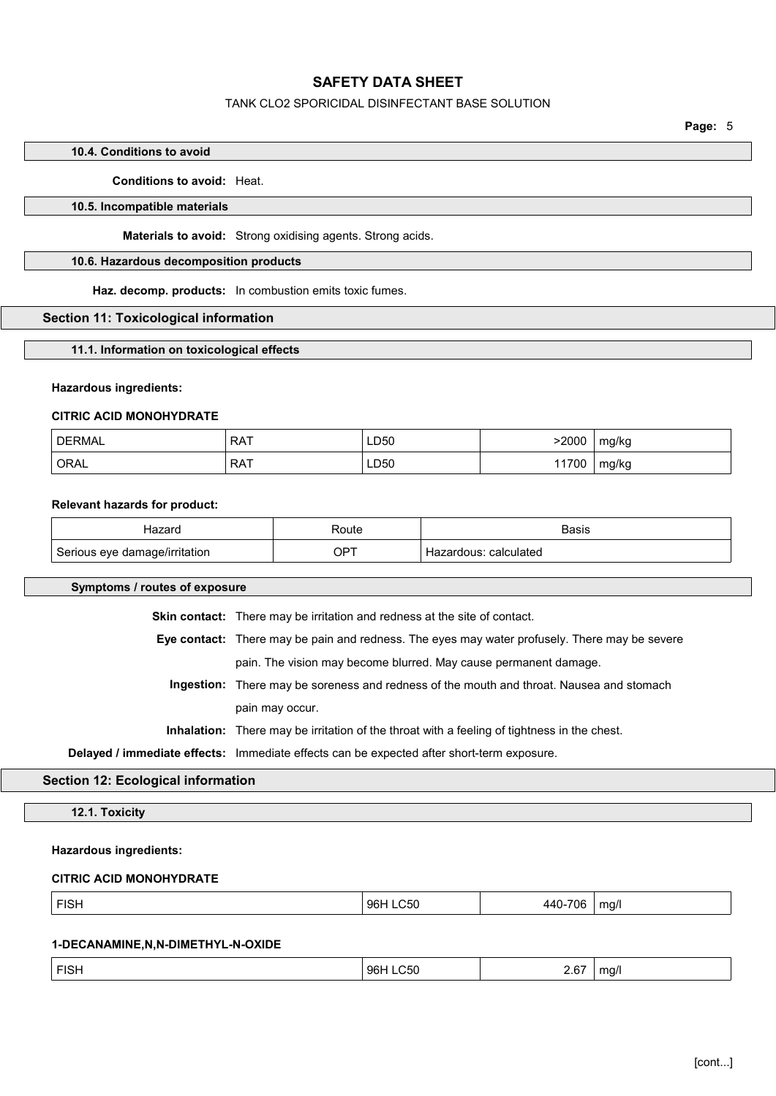## TANK CLO2 SPORICIDAL DISINFECTANT BASE SOLUTION

Page: 5

# 10.4. Conditions to avoid

### Conditions to avoid: Heat.

### 10.5. Incompatible materials

Materials to avoid: Strong oxidising agents. Strong acids.

## 10.6. Hazardous decomposition products

Haz. decomp. products: In combustion emits toxic fumes.

### Section 11: Toxicological information

11.1. Information on toxicological effects

#### Hazardous ingredients:

#### CITRIC ACID MONOHYDRATE

| <b>DERMAL</b> | <b>RAT</b> | LD50 | 2000  | mg/kg |
|---------------|------------|------|-------|-------|
| ORAL          | <b>RAT</b> | LD50 | 11700 | mg/kg |

### Relevant hazards for product:

|                  | 'oute       | Hooir.           |
|------------------|-------------|------------------|
| /irritation<br>A | 7PT<br>$ -$ | calculatec<br>ıс |

#### Symptoms / routes of exposure

Skin contact: There may be irritation and redness at the site of contact.

Eye contact: There may be pain and redness. The eyes may water profusely. There may be severe pain. The vision may become blurred. May cause permanent damage.

Ingestion: There may be soreness and redness of the mouth and throat. Nausea and stomach pain may occur.

Inhalation: There may be irritation of the throat with a feeling of tightness in the chest.

Delayed / immediate effects: Immediate effects can be expected after short-term exposure.

## Section 12: Ecological information

12.1. Toxicity

#### Hazardous ingredients:

## CITRIC ACID MONOHYDRATE

| $\mathbf{r}$ = $\mathbf{r}$<br>гіэн | 96H<br>∶ור… | 70L<br> | ma/l<br>. . |
|-------------------------------------|-------------|---------|-------------|
|                                     |             |         |             |

#### 1-DECANAMINE,N,N-DIMETHYL-N-OXIDE

| <b>FISH</b> | 96H LC50<br>96 <b>F</b> | 2.67<br>_____ | ma/l<br>. . |
|-------------|-------------------------|---------------|-------------|
|             |                         |               |             |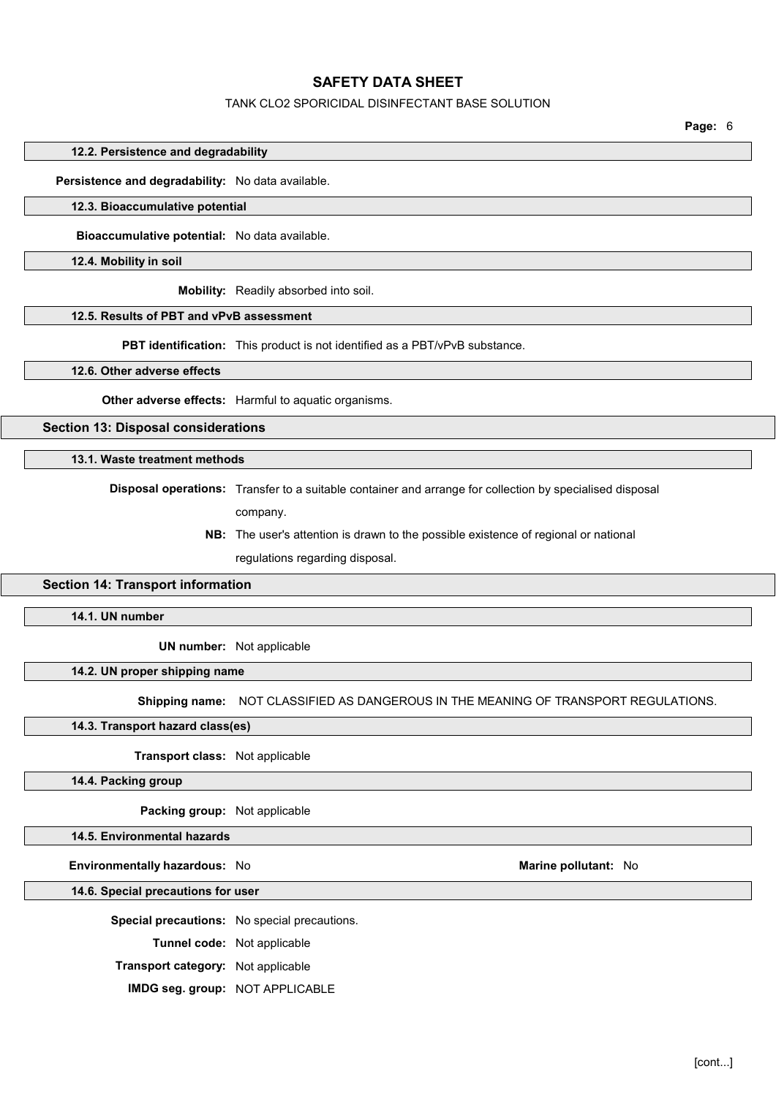### TANK CLO2 SPORICIDAL DISINFECTANT BASE SOLUTION

Page: 6

12.2. Persistence and degradability

### Persistence and degradability: No data available.

## 12.3. Bioaccumulative potential

Bioaccumulative potential: No data available.

12.4. Mobility in soil

Mobility: Readily absorbed into soil.

## 12.5. Results of PBT and vPvB assessment

PBT identification: This product is not identified as a PBT/vPvB substance.

12.6. Other adverse effects

Other adverse effects: Harmful to aquatic organisms.

Section 13: Disposal considerations

### 13.1. Waste treatment methods

Disposal operations: Transfer to a suitable container and arrange for collection by specialised disposal

- company.
- NB: The user's attention is drawn to the possible existence of regional or national

regulations regarding disposal.

### Section 14: Transport information

14.1. UN number

UN number: Not applicable

## 14.2. UN proper shipping name

Shipping name: NOT CLASSIFIED AS DANGEROUS IN THE MEANING OF TRANSPORT REGULATIONS.

14.3. Transport hazard class(es)

Transport class: Not applicable

14.4. Packing group

Packing group: Not applicable

#### 14.5. Environmental hazards

Environmentally hazardous: No Marine pollutant: No Marine pollutant: No

14.6. Special precautions for user

Special precautions: No special precautions.

Tunnel code: Not applicable

Transport category: Not applicable

IMDG seg. group: NOT APPLICABLE